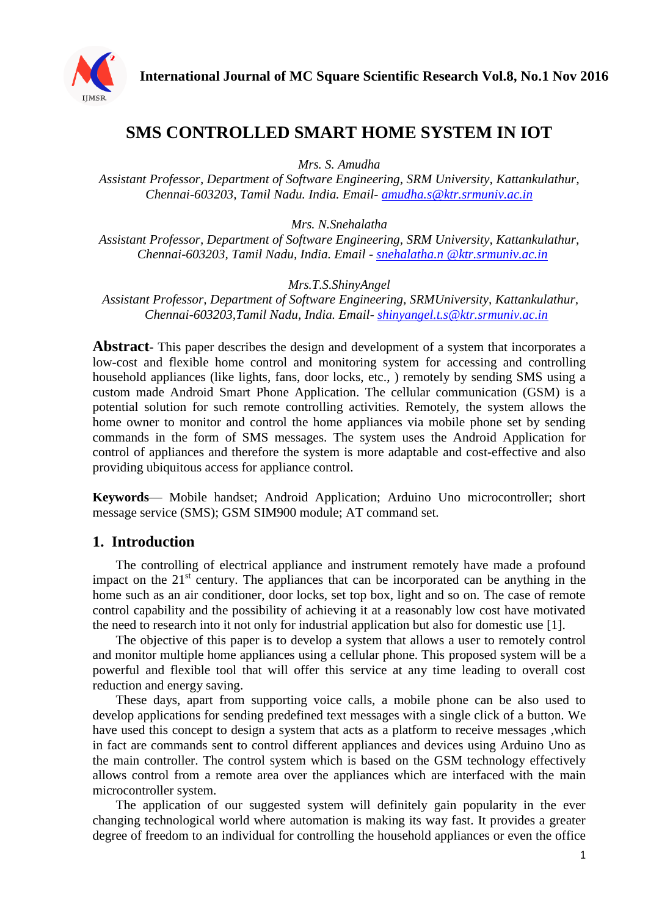

# **SMS CONTROLLED SMART HOME SYSTEM IN IOT**

*Mrs. S. Amudha*

*Assistant Professor, Department of Software Engineering, SRM University, Kattankulathur, Chennai-603203, Tamil Nadu. India. Email- [amudha.s@ktr.srmuniv.ac.in](mailto:amudha.s@ktr.srmuniv.ac.in)*

*Mrs. N.Snehalatha*

*Assistant Professor, Department of Software Engineering, SRM University, Kattankulathur, Chennai-603203, Tamil Nadu, India. Email - [snehalatha.n @ktr.srmuniv.ac.in](mailto:snehalatha.n%20@ktr.srmuniv.ac.in)*

*Mrs.T.S.ShinyAngel*

*Assistant Professor, Department of Software Engineering, SRMUniversity, Kattankulathur, Chennai-603203,Tamil Nadu, India. Email- [shinyangel.t.s@ktr.srmuniv.ac.in](mailto:shinyangel.t.s@ktr.srmuniv.ac.in)*

**Abstract**- This paper describes the design and development of a system that incorporates a low-cost and flexible home control and monitoring system for accessing and controlling household appliances (like lights, fans, door locks, etc., ) remotely by sending SMS using a custom made Android Smart Phone Application. The cellular communication (GSM) is a potential solution for such remote controlling activities. Remotely, the system allows the home owner to monitor and control the home appliances via mobile phone set by sending commands in the form of SMS messages. The system uses the Android Application for control of appliances and therefore the system is more adaptable and cost-effective and also providing ubiquitous access for appliance control.

**Keywords**— Mobile handset; Android Application; Arduino Uno microcontroller; short message service (SMS); GSM SIM900 module; AT command set.

### **1. Introduction**

The controlling of electrical appliance and instrument remotely have made a profound impact on the  $21<sup>st</sup>$  century. The appliances that can be incorporated can be anything in the home such as an air conditioner, door locks, set top box, light and so on. The case of remote control capability and the possibility of achieving it at a reasonably low cost have motivated the need to research into it not only for industrial application but also for domestic use [1].

The objective of this paper is to develop a system that allows a user to remotely control and monitor multiple home appliances using a cellular phone. This proposed system will be a powerful and flexible tool that will offer this service at any time leading to overall cost reduction and energy saving.

These days, apart from supporting voice calls, a mobile phone can be also used to develop applications for sending predefined text messages with a single click of a button. We have used this concept to design a system that acts as a platform to receive messages ,which in fact are commands sent to control different appliances and devices using Arduino Uno as the main controller. The control system which is based on the GSM technology effectively allows control from a remote area over the appliances which are interfaced with the main microcontroller system.

The application of our suggested system will definitely gain popularity in the ever changing technological world where automation is making its way fast. It provides a greater degree of freedom to an individual for controlling the household appliances or even the office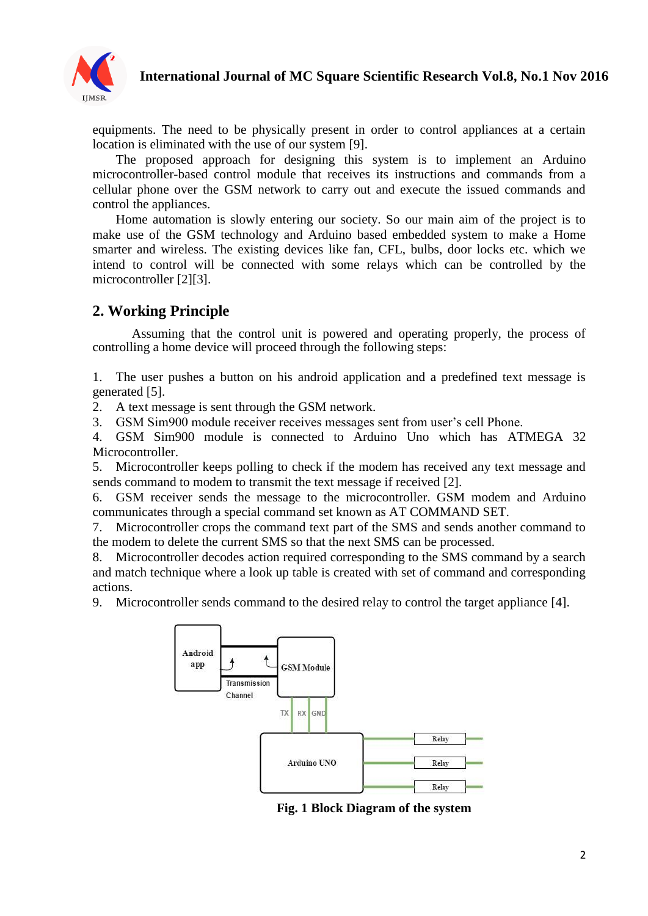

## **International Journal of MC Square Scientific Research Vol.8, No.1 Nov 2016**

equipments. The need to be physically present in order to control appliances at a certain location is eliminated with the use of our system [9].

The proposed approach for designing this system is to implement an Arduino microcontroller-based control module that receives its instructions and commands from a cellular phone over the GSM network to carry out and execute the issued commands and control the appliances.

Home automation is slowly entering our society. So our main aim of the project is to make use of the GSM technology and Arduino based embedded system to make a Home smarter and wireless. The existing devices like fan, CFL, bulbs, door locks etc. which we intend to control will be connected with some relays which can be controlled by the microcontroller [2][3].

## **2. Working Principle**

Assuming that the control unit is powered and operating properly, the process of controlling a home device will proceed through the following steps:

1. The user pushes a button on his android application and a predefined text message is generated [5].

2. A text message is sent through the GSM network.

3. GSM Sim900 module receiver receives messages sent from user's cell Phone.

4. GSM Sim900 module is connected to Arduino Uno which has ATMEGA 32 Microcontroller.

5. Microcontroller keeps polling to check if the modem has received any text message and sends command to modem to transmit the text message if received [2].

6. GSM receiver sends the message to the microcontroller. GSM modem and Arduino communicates through a special command set known as AT COMMAND SET.

7. Microcontroller crops the command text part of the SMS and sends another command to the modem to delete the current SMS so that the next SMS can be processed.

8. Microcontroller decodes action required corresponding to the SMS command by a search and match technique where a look up table is created with set of command and corresponding actions.

9. Microcontroller sends command to the desired relay to control the target appliance [4].



**Fig. 1 Block Diagram of the system**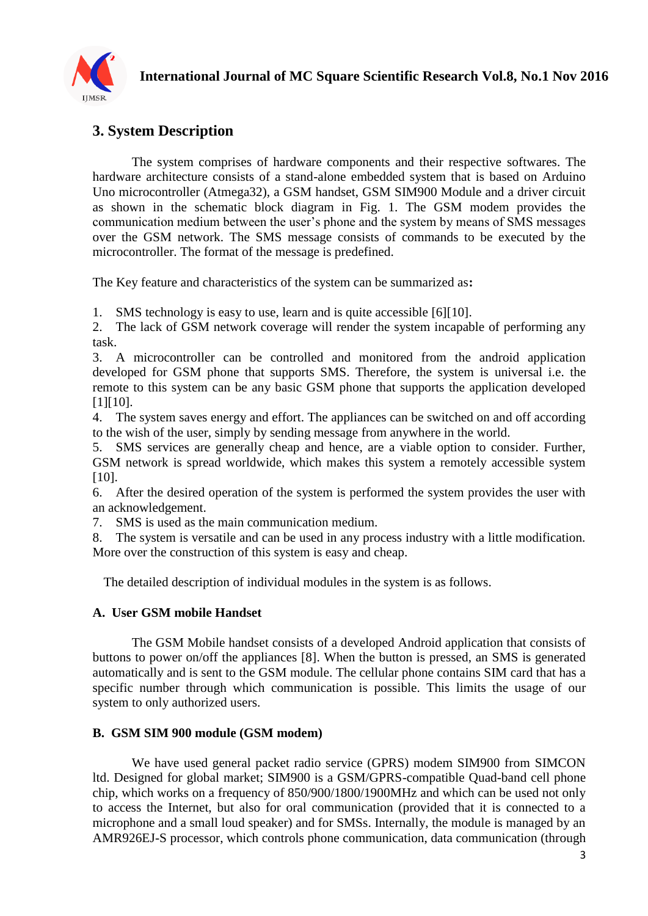

# **3. System Description**

The system comprises of hardware components and their respective softwares. The hardware architecture consists of a stand-alone embedded system that is based on Arduino Uno microcontroller (Atmega32), a GSM handset, GSM SIM900 Module and a driver circuit as shown in the schematic block diagram in Fig. 1. The GSM modem provides the communication medium between the user's phone and the system by means of SMS messages over the GSM network. The SMS message consists of commands to be executed by the microcontroller. The format of the message is predefined.

The Key feature and characteristics of the system can be summarized as**:**

1. SMS technology is easy to use, learn and is quite accessible [6][10].

2. The lack of GSM network coverage will render the system incapable of performing any task.

3. A microcontroller can be controlled and monitored from the android application developed for GSM phone that supports SMS. Therefore, the system is universal i.e. the remote to this system can be any basic GSM phone that supports the application developed [1][10].

4. The system saves energy and effort. The appliances can be switched on and off according to the wish of the user, simply by sending message from anywhere in the world.

5. SMS services are generally cheap and hence, are a viable option to consider. Further, GSM network is spread worldwide, which makes this system a remotely accessible system [10].

6. After the desired operation of the system is performed the system provides the user with an acknowledgement.

7. SMS is used as the main communication medium.

8. The system is versatile and can be used in any process industry with a little modification. More over the construction of this system is easy and cheap.

The detailed description of individual modules in the system is as follows.

#### **A. User GSM mobile Handset**

The GSM Mobile handset consists of a developed Android application that consists of buttons to power on/off the appliances [8]. When the button is pressed, an SMS is generated automatically and is sent to the GSM module. The cellular phone contains SIM card that has a specific number through which communication is possible. This limits the usage of our system to only authorized users.

#### **B. GSM SIM 900 module (GSM modem)**

We have used general packet radio service (GPRS) modem SIM900 from SIMCON ltd. Designed for global market; SIM900 is a GSM/GPRS-compatible Quad-band cell phone chip, which works on a frequency of 850/900/1800/1900MHz and which can be used not only to access the Internet, but also for oral communication (provided that it is connected to a microphone and a small loud speaker) and for SMSs. Internally, the module is managed by an AMR926EJ-S processor, which controls phone communication, data communication (through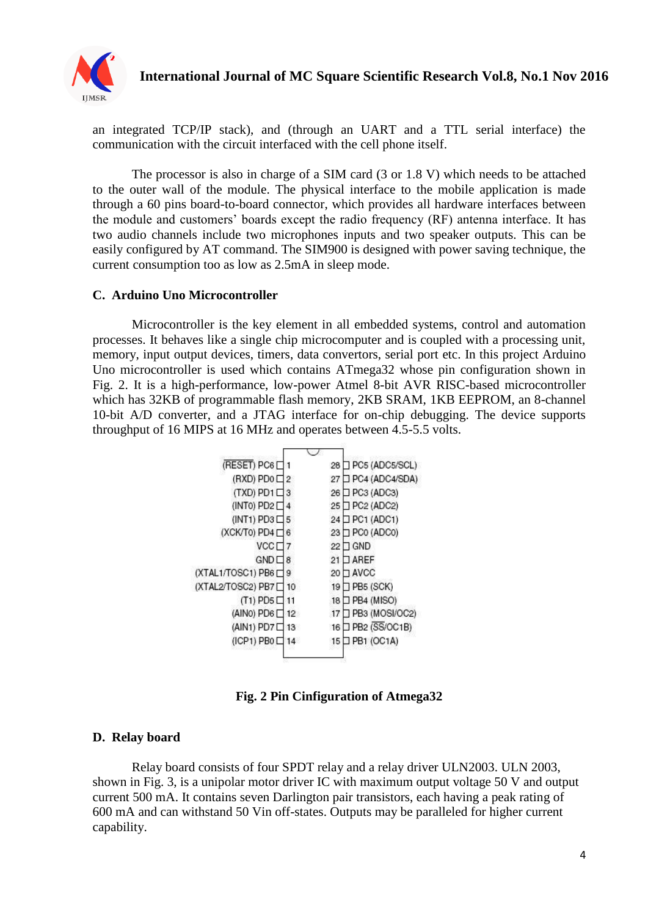

an integrated TCP/IP stack), and (through an UART and a TTL serial interface) the communication with the circuit interfaced with the cell phone itself.

The processor is also in charge of a SIM card (3 or 1.8 V) which needs to be attached to the outer wall of the module. The physical interface to the mobile application is made through a 60 pins board-to-board connector, which provides all hardware interfaces between the module and customers' boards except the radio frequency (RF) antenna interface. It has two audio channels include two microphones inputs and two speaker outputs. This can be easily configured by AT command. The SIM900 is designed with power saving technique, the current consumption too as low as 2.5mA in sleep mode.

#### **C. Arduino Uno Microcontroller**

Microcontroller is the key element in all embedded systems, control and automation processes. It behaves like a single chip microcomputer and is coupled with a processing unit, memory, input output devices, timers, data convertors, serial port etc. In this project Arduino Uno microcontroller is used which contains ATmega32 whose pin configuration shown in Fig. 2. It is a high-performance, low-power Atmel 8-bit AVR RISC-based microcontroller which has 32KB of programmable flash memory, 2KB SRAM, 1KB EEPROM, an 8-channel 10-bit A/D converter, and a JTAG interface for on-chip debugging. The device supports throughput of 16 MIPS at 16 MHz and operates between 4.5-5.5 volts.



**Fig. 2 Pin Cinfiguration of Atmega32**

#### **D. Relay board**

Relay board consists of four SPDT relay and a relay driver ULN2003. ULN 2003, shown in Fig. 3, is a unipolar motor driver IC with maximum output voltage 50 V and output current 500 mA. It contains seven Darlington pair transistors, each having a peak rating of 600 mA and can withstand 50 Vin off-states. Outputs may be paralleled for higher current capability.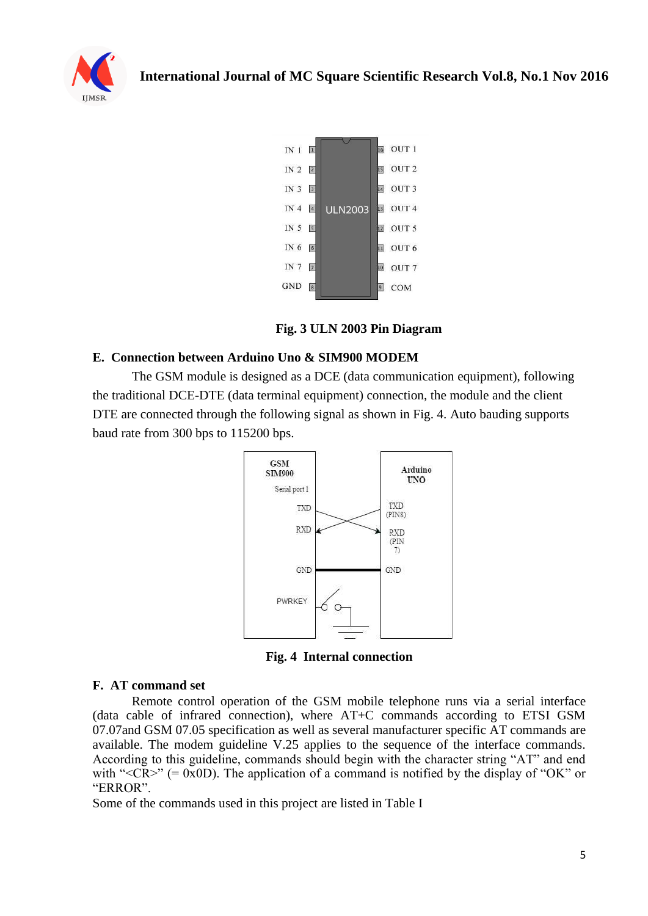



**Fig. 3 ULN 2003 Pin Diagram**

### **E. Connection between Arduino Uno & SIM900 MODEM**

The GSM module is designed as a DCE (data communication equipment), following the traditional DCE-DTE (data terminal equipment) connection, the module and the client DTE are connected through the following signal as shown in Fig. 4. Auto bauding supports baud rate from 300 bps to 115200 bps.



**Fig. 4 Internal connection**

#### **F. AT command set**

Remote control operation of the GSM mobile telephone runs via a serial interface (data cable of infrared connection), where AT+C commands according to ETSI GSM 07.07and GSM 07.05 specification as well as several manufacturer specific AT commands are available. The modem guideline V.25 applies to the sequence of the interface commands. According to this guideline, commands should begin with the character string "AT" and end with " $\langle CR \rangle$ " (= 0x0D). The application of a command is notified by the display of "OK" or "ERROR".

Some of the commands used in this project are listed in Table I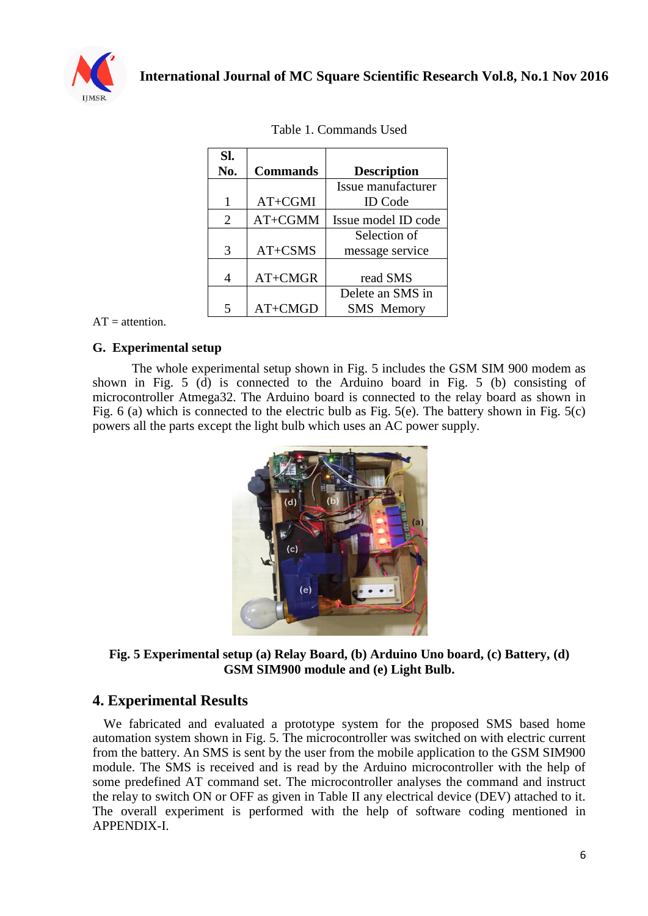

| Sl.            |                 |                     |
|----------------|-----------------|---------------------|
| No.            | <b>Commands</b> | <b>Description</b>  |
|                |                 | Issue manufacturer  |
| 1              | AT+CGMI         | <b>ID</b> Code      |
| $\overline{2}$ | AT+CGMM         | Issue model ID code |
|                |                 | Selection of        |
| 3              | AT+CSMS         | message service     |
|                |                 |                     |
| 4              | AT+CMGR         | read SMS            |
|                |                 | Delete an SMS in    |
|                | AT+CMGD         | <b>SMS</b> Memory   |

|  | Table 1. Commands Used |  |
|--|------------------------|--|
|--|------------------------|--|

 $AT =$ attention.

#### **G. Experimental setup**

The whole experimental setup shown in Fig. 5 includes the GSM SIM 900 modem as shown in Fig. 5 (d) is connected to the Arduino board in Fig. 5 (b) consisting of microcontroller Atmega32. The Arduino board is connected to the relay board as shown in Fig. 6 (a) which is connected to the electric bulb as Fig. 5(e). The battery shown in Fig. 5(c) powers all the parts except the light bulb which uses an AC power supply.



**Fig. 5 Experimental setup (a) Relay Board, (b) Arduino Uno board, (c) Battery, (d) GSM SIM900 module and (e) Light Bulb.**

### **4. Experimental Results**

We fabricated and evaluated a prototype system for the proposed SMS based home automation system shown in Fig. 5. The microcontroller was switched on with electric current from the battery. An SMS is sent by the user from the mobile application to the GSM SIM900 module. The SMS is received and is read by the Arduino microcontroller with the help of some predefined AT command set. The microcontroller analyses the command and instruct the relay to switch ON or OFF as given in Table II any electrical device (DEV) attached to it. The overall experiment is performed with the help of software coding mentioned in APPENDIX-I.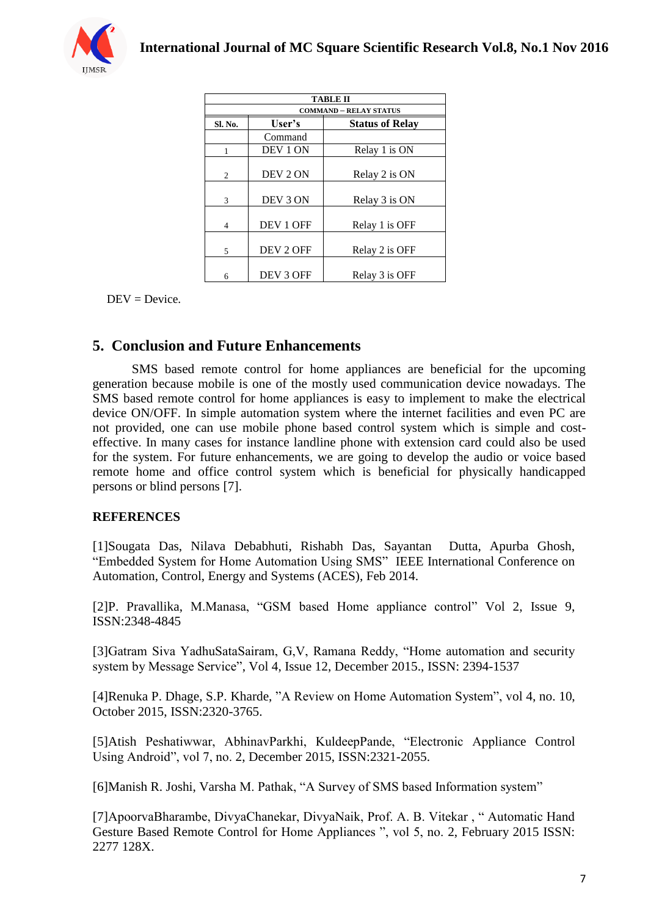

| TABLE II                      |           |                        |  |  |
|-------------------------------|-----------|------------------------|--|--|
| <b>COMMAND - RELAY STATUS</b> |           |                        |  |  |
| Sl. No.                       | User's    | <b>Status of Relay</b> |  |  |
|                               | Command   |                        |  |  |
|                               | DEV 1 ON  | Relay 1 is ON          |  |  |
| $\overline{c}$                | DEV 2 ON  | Relay 2 is ON          |  |  |
| 3                             | DEV 3 ON  | Relay 3 is ON          |  |  |
| $\overline{4}$                | DEV 1 OFF | Relay 1 is OFF         |  |  |
| 5                             | DEV 2 OFF | Relay 2 is OFF         |  |  |
| 6                             | DEV 3 OFF | Relay 3 is OFF         |  |  |

 $DEV = Device.$ 

## **5. Conclusion and Future Enhancements**

SMS based remote control for home appliances are beneficial for the upcoming generation because mobile is one of the mostly used communication device nowadays. The SMS based remote control for home appliances is easy to implement to make the electrical device ON/OFF. In simple automation system where the internet facilities and even PC are not provided, one can use mobile phone based control system which is simple and costeffective. In many cases for instance landline phone with extension card could also be used for the system. For future enhancements, we are going to develop the audio or voice based remote home and office control system which is beneficial for physically handicapped persons or blind persons [7].

#### **REFERENCES**

[1]Sougata Das, Nilava Debabhuti, Rishabh Das, Sayantan Dutta, Apurba Ghosh, "Embedded System for Home Automation Using SMS" IEEE International Conference on Automation, Control, Energy and Systems (ACES), Feb 2014.

[2]P. Pravallika, M.Manasa, "GSM based Home appliance control" Vol 2, Issue 9, ISSN:2348-4845

[3]Gatram Siva YadhuSataSairam, G,V, Ramana Reddy, "Home automation and security system by Message Service", Vol 4, Issue 12, December 2015., ISSN: 2394-1537

[4]Renuka P. Dhage, S.P. Kharde, "A Review on Home Automation System", vol 4, no. 10, October 2015, ISSN:2320-3765.

[5]Atish Peshatiwwar, AbhinavParkhi, KuldeepPande, "Electronic Appliance Control Using Android", vol 7, no. 2, December 2015, ISSN:2321-2055.

[6]Manish R. Joshi, Varsha M. Pathak, "A Survey of SMS based Information system"

[7]ApoorvaBharambe, DivyaChanekar, DivyaNaik, Prof. A. B. Vitekar , " Automatic Hand Gesture Based Remote Control for Home Appliances ", vol 5, no. 2, February 2015 ISSN: 2277 128X.